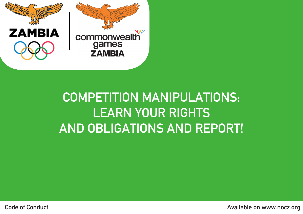

## COMPETITION MANIPULATIONS: LEARN YOUR RIGHTS AND OBLIGATIONS AND REPORT!

**Code of Conduct Conduct Conduct** Code of Conduct Available on www.nocz.org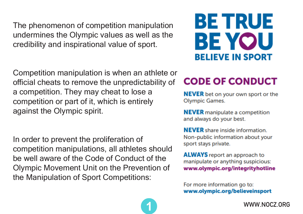The phenomenon of competition manipulation undermines the Olympic values as well as the credibility and inspirational value of sport.

Competition manipulation is when an athlete or official cheats to remove the unpredictability of a competition. They may cheat to lose a competition or part of it, which is entirely against the Olympic spirit.

In order to prevent the proliferation of competition manipulations, all athletes should be well aware of the Code of Conduct of the Olympic Movement Unit on the Prevention of the Manipulation of Sport Competitions:



### **CODE OF CONDUCT**

**NEVER** bet on your own sport or the **Olympic Games.** 

**NEVER** manipulate a competition and always do your best.

**NEVER** share inside information. Non-public information about your sport stays private.

**ALWAYS** report an approach to manipulate or anything suspicious: www.olympic.org/integrityhotline

For more information go to: www.olympic.org/believeinsport



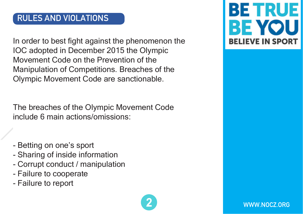#### RULES AND VIOLATIONS

In order to best fight against the phenomenon the IOC adopted in December 2015 the Olympic Movement Code on the Prevention of the Manipulation of Competitions. Breaches of the Olympic Movement Code are sanctionable.

The breaches of the Olympic Movement Code include 6 main actions/omissions:

- Betting on one's sport
- Sharing of inside information
- Corrupt conduct / manipulation
- Failure to cooperate
- Failure to report





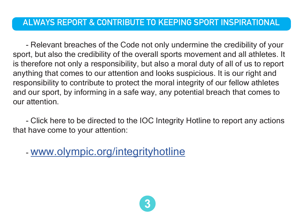#### ALWAYS REPORT & CONTRIBUTE TO KEEPING SPORT INSPIRATIONAL

- Relevant breaches of the Code not only undermine the credibility of your sport, but also the credibility of the overall sports movement and all athletes. It is therefore not only a responsibility, but also a moral duty of all of us to report anything that comes to our attention and looks suspicious. It is our right and responsibility to contribute to protect the moral integrity of our fellow athletes and our sport, by informing in a safe way, any potential breach that comes to our attention.

- Click here to be directed to the IOC Integrity Hotline to report any actions that have come to your attention:

- www.olympic.org/integrityhotline